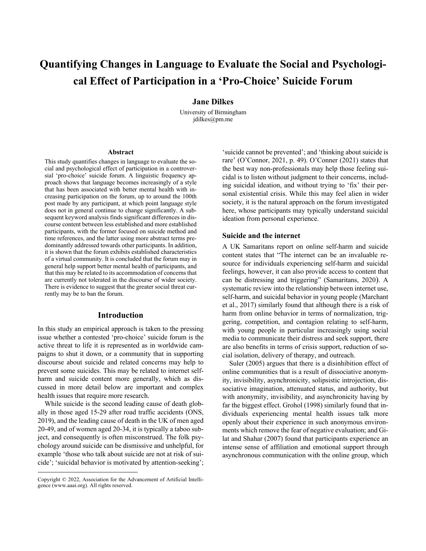# **Quantifying Changes in Language to Evaluate the Social and Psychological Effect of Participation in a 'Pro-Choice' Suicide Forum**

**Jane Dilkes**

University of Birmingham jdilkes@pm.me

#### **Abstract**

This study quantifies changes in language to evaluate the social and psychological effect of participation in a controversial 'pro-choice' suicide forum. A linguistic frequency approach shows that language becomes increasingly of a style that has been associated with better mental health with increasing participation on the forum, up to around the 100th post made by any participant, at which point language style does not in general continue to change significantly. A subsequent keyword analysis finds significant differences in discourse content between less established and more established participants, with the former focused on suicide method and time references, and the latter using more abstract terms predominantly addressed towards other participants. In addition, it is shown that the forum exhibits established characteristics of a virtual community. It is concluded that the forum may in general help support better mental health of participants, and that this may be related to its accommodation of concerns that are currently not tolerated in the discourse of wider society. There is evidence to suggest that the greater social threat currently may be to ban the forum.

### **Introduction**

In this study an empirical approach is taken to the pressing issue whether a contested 'pro-choice' suicide forum is the active threat to life it is represented as in worldwide campaigns to shut it down, or a community that in supporting discourse about suicide and related concerns may help to prevent some suicides. This may be related to internet selfharm and suicide content more generally, which as discussed in more detail below are important and complex health issues that require more research.

While suicide is the second leading cause of death globally in those aged 15-29 after road traffic accidents (ONS, 2019), and the leading cause of death in the UK of men aged 20-49, and of women aged 20-34, it is typically a taboo subject, and consequently is often misconstrued. The folk psychology around suicide can be dismissive and unhelpful, for example 'those who talk about suicide are not at risk of suicide'; 'suicidal behavior is motivated by attention-seeking';

'suicide cannot be prevented'; and 'thinking about suicide is rare' (O'Connor, 2021, p. 49). O'Conner (2021) states that the best way non-professionals may help those feeling suicidal is to listen without judgment to their concerns, including suicidal ideation, and without trying to 'fix' their personal existential crisis. While this may feel alien in wider society, it is the natural approach on the forum investigated here, whose participants may typically understand suicidal ideation from personal experience.

#### **Suicide and the internet**

A UK Samaritans report on online self-harm and suicide content states that "The internet can be an invaluable resource for individuals experiencing self-harm and suicidal feelings, however, it can also provide access to content that can be distressing and triggering" (Samaritans, 2020). A systematic review into the relationship between internet use, self-harm, and suicidal behavior in young people (Marchant et al., 2017) similarly found that although there is a risk of harm from online behavior in terms of normalization, triggering, competition, and contagion relating to self-harm, with young people in particular increasingly using social media to communicate their distress and seek support, there are also benefits in terms of crisis support, reduction of social isolation, delivery of therapy, and outreach.

Suler (2005) argues that there is a disinhibition effect of online communities that is a result of dissociative anonymity, invisibility, asynchronicity, solipsistic introjection, dissociative imagination, attenuated status, and authority, but with anonymity, invisibility, and asynchronicity having by far the biggest effect. Grohol (1998) similarly found that individuals experiencing mental health issues talk more openly about their experience in such anonymous environments which remove the fear of negative evaluation; and Gilat and Shahar (2007) found that participants experience an intense sense of affiliation and emotional support through asynchronous communication with the online group, which

Copyright © 2022, Association for the Advancement of Artificial Intelligence (www.aaai.org). All rights reserved.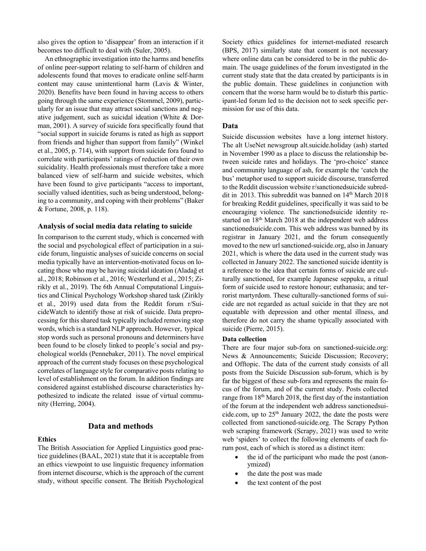also gives the option to 'disappear' from an interaction if it becomes too difficult to deal with (Suler, 2005).

An ethnographic investigation into the harms and benefits of online peer-support relating to self-harm of children and adolescents found that moves to eradicate online self-harm content may cause unintentional harm (Lavis & Winter, 2020). Benefits have been found in having access to others going through the same experience (Stommel, 2009), particularly for an issue that may attract social sanctions and negative judgement, such as suicidal ideation (White & Dorman, 2001). A survey of suicide fora specifically found that "social support in suicide forums is rated as high as support from friends and higher than support from family" (Winkel et al., 2005, p. 714), with support from suicide fora found to correlate with participants' ratings of reduction of their own suicidality. Health professionals must therefore take a more balanced view of self-harm and suicide websites, which have been found to give participants "access to important, socially valued identities, such as being understood, belonging to a community, and coping with their problems" (Baker & Fortune, 2008, p. 118).

### **Analysis of social media data relating to suicide**

In comparison to the current study, which is concerned with the social and psychological effect of participation in a suicide forum, linguistic analyses of suicide concerns on social media typically have an intervention-motivated focus on locating those who may be having suicidal ideation (Aladağ et al., 2018; Robinson et al., 2016; Westerlund et al., 2015; Zirikly et al., 2019). The 6th Annual Computational Linguistics and Clinical Psychology Workshop shared task (Zirikly et al., 2019) used data from the Reddit forum r/SuicideWatch to identify those at risk of suicide. Data preprocessing for this shared task typically included removing stop words, which is a standard NLP approach. However, typical stop words such as personal pronouns and determiners have been found to be closely linked to people's social and psychological worlds (Pennebaker, 2011). The novel empirical approach of the current study focuses on these psychological correlates of language style for comparative posts relating to level of establishment on the forum. In addition findings are considered against established discourse characteristics hypothesized to indicate the related issue of virtual community (Herring, 2004).

## **Data and methods**

#### **Ethics**

The British Association for Applied Linguistics good practice guidelines (BAAL, 2021) state that it is acceptable from an ethics viewpoint to use linguistic frequency information from internet discourse, which is the approach of the current study, without specific consent. The British Psychological

Society ethics guidelines for internet-mediated research (BPS, 2017) similarly state that consent is not necessary where online data can be considered to be in the public domain. The usage guidelines of the forum investigated in the current study state that the data created by participants is in the public domain. These guidelines in conjunction with concern that the worse harm would be to disturb this participant-led forum led to the decision not to seek specific permission for use of this data.

## **Data**

Suicide discussion websites have a long internet history. The alt UseNet newsgroup alt.suicide.holiday (ash) started in November 1990 as a place to discuss the relationship between suicide rates and holidays. The 'pro-choice' stance and community language of ash, for example the 'catch the bus' metaphor used to support suicide discourse, transferred to the Reddit discussion website r/sanctionedsuicide subreddit in 2013. This subreddit was banned on 14<sup>th</sup> March 2018 for breaking Reddit guidelines, specifically it was said to be encouraging violence. The sanctionedsuicide identity restarted on 18<sup>th</sup> March 2018 at the independent web address sanctionedsuicide.com. This web address was banned by its registrar in January 2021, and the forum consequently moved to the new url sanctioned-suicide.org, also in January 2021, which is where the data used in the current study was collected in January 2022. The sanctioned suicide identity is a reference to the idea that certain forms of suicide are culturally sanctioned, for example Japanese seppuku, a ritual form of suicide used to restore honour; euthanasia; and terrorist martyrdom. These culturally-sanctioned forms of suicide are not regarded as actual suicide in that they are not equatable with depression and other mental illness, and therefore do not carry the shame typically associated with suicide (Pierre, 2015).

#### **Data collection**

There are four major sub-fora on sanctioned-suicide.org: News & Announcements; Suicide Discussion; Recovery; and Offtopic. The data of the current study consists of all posts from the Suicide Discussion sub-forum, which is by far the biggest of these sub-fora and represents the main focus of the forum, and of the current study. Posts collected range from 18<sup>th</sup> March 2018, the first day of the instantiation of the forum at the independent web address sanctionedsuicide.com, up to  $25<sup>th</sup>$  January 2022, the date the posts were collected from sanctioned-suicide.org. The Scrapy Python web scraping framework (Scrapy, 2021) was used to write web 'spiders' to collect the following elements of each forum post, each of which is stored as a distinct item:

- the id of the participant who made the post (anonymized)
- the date the post was made
- the text content of the post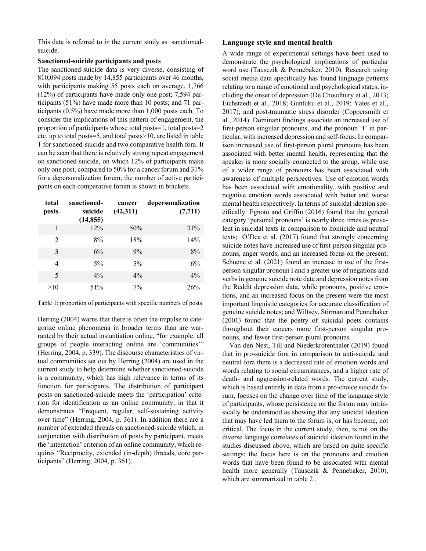This data is referred to in the current study as sanctionedsuicide.

## **Sanctioned-suicide participants and posts**

The sanctioned-suicide data is very diverse, consisting of 810,094 posts made by 14,855 participants over 46 months, with participants making 55 posts each on average. 1,766 (12%) of participants have made only one post; 7,594 participants (51%) have made more than 10 posts; and 71 participants (0.5%) have made more than 1,000 posts each. To consider the implications of this pattern of engagement, the proportion of participants whose total posts=1, total posts=2 etc. up to total posts=5, and total posts>10, are listed in table 1 for sanctioned-suicide and two comparative health fora. It can be seen that there is relatively strong repeat engagement on sanctioned-suicide, on which 12% of participants make only one post, compared to 50% for a cancer forum and 31% for a depersonalization forum; the number of active participants on each comparative forum is shown in brackets.

| total<br>posts           | sanctioned-<br>suicide<br>(14, 855) | cancer<br>(42,311) | depersonalization<br>(7, 711) |
|--------------------------|-------------------------------------|--------------------|-------------------------------|
| 1                        | 12%                                 | 50%                | 31%                           |
| $\mathfrak{D}$           | 8%                                  | 18%                | 14%                           |
| 3                        | 6%                                  | 9%                 | 8%                            |
| 4                        | $5\%$                               | $5\%$              | 6%                            |
| $\overline{\phantom{1}}$ | $4\%$                               | $4\%$              | $4\%$                         |
| >10                      | 51%                                 | $7\%$              | 26%                           |

Table 1: proportion of participants with specific numbers of posts

Herring (2004) warns that there is often the impulse to categorize online phenomena in broader terms than are warranted by their actual instantiation online, "for example, all groups of people interacting online are 'communities'" (Herring, 2004, p. 339). The discourse characteristics of virtual communities set out by Herring (2004) are used in the current study to help determine whether sanctioned-suicide is a community, which has high relevance in terms of its function for participants. The distribution of participant posts on sanctioned-suicide meets the 'participation' criterion for identification as an online community, in that it demonstrates "Frequent, regular, self-sustaining activity over time" (Herring, 2004, p. 361). In addition there are a number of extended threads on sanctioned-suicide which, in conjunction with distribution of posts by participant, meets the 'interaction' criterion of an online community, which requires "Reciprocity, extended (in-depth) threads, core participants" (Herring, 2004, p. 361).

## **Language style and mental health**

A wide range of experimental settings have been used to demonstrate the psychological implications of particular word use (Tausczik & Pennebaker, 2010). Research using social media data specifically has found language patterns relating to a range of emotional and psychological states, including the onset of depression (De Choudhury et al., 2013; Eichstaedt et al., 2018; Guntuku et al., 2019; Yates et al., 2017); and post-traumatic stress disorder (Coppersmith et al., 2014). Dominant findings associate an increased use of first-person singular pronouns, and the pronoun 'I' in particular, with increased depression and self-focus. In comparison increased use of first-person plural pronouns has been associated with better mental health, representing that the speaker is more socially connected to the group, while use of a wider range of pronouns has been associated with awareness of multiple perspectives. Use of emotion words has been associated with emotionality, with positive and negative emotion words associated with better and worse mental health respectively. In terms of suicidal ideation specifically: Egnoto and Griffin (2016) found that the general category 'personal pronouns' is nearly three times as prevalent in suicidal texts in comparison to homicide and neutral texts; O'Dea et al. (2017) found that strongly concerning suicide notes have increased use of first-person singular pronouns, anger words, and an increased focus on the present; Schoene et al. (2021) found an increase in use of the firstperson singular pronoun I and a greater use of negations and verbs in genuine suicide note data and depression notes from the Reddit depression data, while pronouns, positive emotions, and an increased focus on the present were the most important linguistic categories for accurate classification of genuine suicide notes; and Wiltsey, Stirman and Pennebaker (2001) found that the poetry of suicidal poets contains throughout their careers more first-person singular pronouns, and fewer first-person plural pronouns.

Van den Nest, Till and Niederkrotenthaler (2019) found that in pro-suicide fora in comparison to anti-suicide and neutral fora there is a decreased rate of emotion words and words relating to social circumstances, and a higher rate of death- and aggression-related words. The current study, which is based entirely in data from a pro-choice suicide forum, focuses on the change over time of the language style of participants, whose persistence on the forum may intrinsically be understood as showing that any suicidal ideation that may have led them to the forum is, or has become, not critical. The focus in the current study, then, is not on the diverse language correlates of suicidal ideation found in the studies discussed above, which are based on quite specific settings: the focus here is on the pronouns and emotion words that have been found to be associated with mental health more generally (Tausczik & Pennebaker, 2010), which are summarized in table 2 .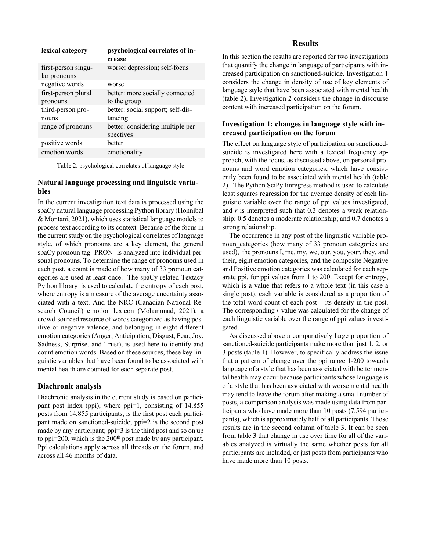| lexical category                    | psychological correlates of in-<br>crease       |
|-------------------------------------|-------------------------------------------------|
| first-person singu-<br>lar pronouns | worse: depression; self-focus                   |
| negative words                      | worse                                           |
| first-person plural<br>pronouns     | better: more socially connected<br>to the group |
| third-person pro-<br>nouns          | better: social support; self-dis-<br>tancing    |
| range of pronouns                   | better: considering multiple per-<br>spectives  |
| positive words                      | hetter                                          |
| emotion words                       | emotionality                                    |

Table 2: psychological correlates of language style

# **Natural language processing and linguistic variables**

In the current investigation text data is processed using the spaCy natural language processing Python library (Honnibal & Montani, 2021), which uses statistical language models to process text according to its context*.* Because of the focus in the current study on the psychological correlates of language style, of which pronouns are a key element, the general spaCy pronoun tag -PRON- is analyzed into individual personal pronouns. To determine the range of pronouns used in each post, a count is made of how many of 33 pronoun categories are used at least once. The spaCy-related Textacy Python library is used to calculate the entropy of each post, where entropy is a measure of the average uncertainty associated with a text. And the NRC (Canadian National Research Council) emotion lexicon (Mohammad, 2021), a crowd-sourced resource of words categorized as having positive or negative valence, and belonging in eight different emotion categories (Anger, Anticipation, Disgust, Fear, Joy, Sadness, Surprise, and Trust), is used here to identify and count emotion words. Based on these sources, these key linguistic variables that have been found to be associated with mental health are counted for each separate post.

### **Diachronic analysis**

Diachronic analysis in the current study is based on participant post index (ppi), where ppi=1, consisting of 14,855 posts from 14,855 participants, is the first post each participant made on sanctioned-suicide; ppi=2 is the second post made by any participant; ppi=3 is the third post and so on up to ppi=200, which is the  $200<sup>th</sup>$  post made by any participant. Ppi calculations apply across all threads on the forum, and across all 46 months of data.

## **Results**

In this section the results are reported for two investigations that quantify the change in language of participants with increased participation on sanctioned-suicide. Investigation 1 considers the change in density of use of key elements of language style that have been associated with mental health (table 2). Investigation 2 considers the change in discourse content with increased participation on the forum.

# **Investigation 1: changes in language style with increased participation on the forum**

The effect on language style of participation on sanctionedsuicide is investigated here with a lexical frequency approach, with the focus, as discussed above, on personal pronouns and word emotion categories, which have consistently been found to be associated with mental health (table 2). The Python SciPy linregress method is used to calculate least squares regression for the average density of each linguistic variable over the range of ppi values investigated, and *r* is interpreted such that 0.3 denotes a weak relationship; 0.5 denotes a moderate relationship; and 0.7 denotes a strong relationship.

The occurrence in any post of the linguistic variable pronoun categories (how many of 33 pronoun categories are used), the pronouns I, me, my, we, our, you, your, they, and their, eight emotion categories, and the composite Negative and Positive emotion categories was calculated for each separate ppi, for ppi values from 1 to 200. Except for entropy, which is a value that refers to a whole text (in this case a single post), each variable is considered as a proportion of the total word count of each post – its density in the post. The corresponding *r* value was calculated for the change of each linguistic variable over the range of ppi values investigated.

As discussed above a comparatively large proportion of sanctioned-suicide participants make more than just 1, 2, or 3 posts (table 1). However, to specifically address the issue that a pattern of change over the ppi range 1-200 towards language of a style that has been associated with better mental health may occur because participants whose language is of a style that has been associated with worse mental health may tend to leave the forum after making a small number of posts, a comparison analysis was made using data from participants who have made more than 10 posts (7,594 participants), which is approximately half of all participants. Those results are in the second column of table 3. It can be seen from table 3 that change in use over time for all of the variables analyzed is virtually the same whether posts for all participants are included, or just posts from participants who have made more than 10 posts.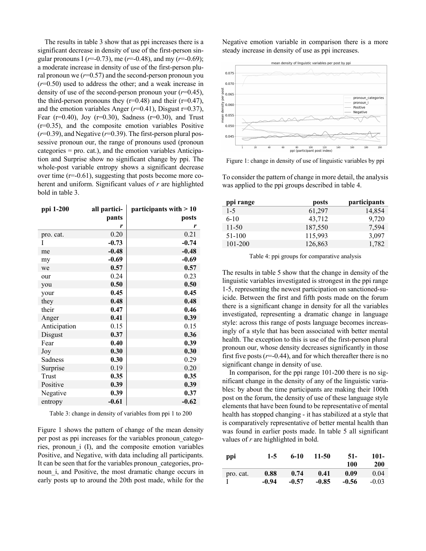The results in table 3 show that as ppi increases there is a significant decrease in density of use of the first-person singular pronouns I (*r*=-0.73), me (*r*=-0.48), and my (*r*=-0.69); a moderate increase in density of use of the first-person plural pronoun we  $(r=0.57)$  and the second-person pronoun you (*r*=0.50) used to address the other; and a weak increase in density of use of the second-person pronoun your  $(r=0.45)$ , the third-person pronouns they  $(r=0.48)$  and their  $(r=0.47)$ , and the emotion variables Anger (*r*=0.41), Disgust r=0.37), Fear (r=0.40), Joy (r=0.30), Sadness (r=0.30), and Trust (r=0.35), and the composite emotion variables Positive (*r*=0.39), and Negative (*r*=0.39). The first-person plural possessive pronoun our, the range of pronouns used (pronoun categories = pro. cat.), and the emotion variables Anticipation and Surprise show no significant change by ppi. The whole-post variable entropy shows a significant decrease over time (r=-0.61), suggesting that posts become more coherent and uniform. Significant values of *r* are highlighted bold in table 3.

| ppi 1-200    | all partici- | participants with $>10$ |
|--------------|--------------|-------------------------|
|              | pants        | posts                   |
|              | r            | r                       |
| pro. cat.    | 0.20         | 0.21                    |
| I            | $-0.73$      | $-0.74$                 |
| me           | $-0.48$      | $-0.48$                 |
| my           | $-0.69$      | $-0.69$                 |
| we           | 0.57         | 0.57                    |
| our          | 0.24         | 0.23                    |
| you          | 0.50         | 0.50                    |
| your         | 0.45         | 0.45                    |
| they         | 0.48         | 0.48                    |
| their        | 0.47         | 0.46                    |
| Anger        | 0.41         | 0.39                    |
| Anticipation | 0.15         | 0.15                    |
| Disgust      | 0.37         | 0.36                    |
| Fear         | 0.40         | 0.39                    |
| Joy          | 0.30         | 0.30                    |
| Sadness      | 0.30         | 0.29                    |
| Surprise     | 0.19         | 0.20                    |
| Trust        | 0.35         | 0.35                    |
| Positive     | 0.39         | 0.39                    |
| Negative     | 0.39         | 0.37                    |
| entropy      | $-0.61$      | $-0.62$                 |
|              |              |                         |

| Table 3: change in density of variables from ppi 1 to 200 |  |  |
|-----------------------------------------------------------|--|--|
|                                                           |  |  |

Figure 1 shows the pattern of change of the mean density per post as ppi increases for the variables pronoun\_categories, pronoun\_i (I), and the composite emotion variables Positive, and Negative, with data including all participants. It can be seen that for the variables pronoun categories, pronoun\_i, and Positive, the most dramatic change occurs in early posts up to around the 20th post made, while for the

Negative emotion variable in comparison there is a more steady increase in density of use as ppi increases.



Figure 1: change in density of use of linguistic variables by ppi

To consider the pattern of change in more detail, the analysis was applied to the ppi groups described in table 4.

| ppi range | posts   | participants |
|-----------|---------|--------------|
| $1 - 5$   | 61,297  | 14,854       |
| $6-10$    | 43.712  | 9,720        |
| $11 - 50$ | 187,550 | 7.594        |
| 51-100    | 115,993 | 3,097        |
| 101-200   | 126,863 | 1,782        |

Table 4: ppi groups for comparative analysis

The results in table 5 show that the change in density of the linguistic variables investigated is strongest in the ppi range 1-5, representing the newest participation on sanctioned-suicide. Between the first and fifth posts made on the forum there is a significant change in density for all the variables investigated, representing a dramatic change in language style: across this range of posts language becomes increasingly of a style that has been associated with better mental health. The exception to this is use of the first-person plural pronoun our, whose density decreases significantly in those first five posts  $(r=0.44)$ , and for which thereafter there is no significant change in density of use.

In comparison, for the ppi range 101-200 there is no significant change in the density of any of the linguistic variables: by about the time participants are making their 100th post on the forum, the density of use of these language style elements that have been found to be representative of mental health has stopped changing - it has stabilized at a style that is comparatively representative of better mental health than was found in earlier posts made. In table 5 all significant values of *r* are highlighted in bold.

| ppi       | $1-5$   | $6-10$  | 11-50   | $51-$<br>100 | 101-<br><b>200</b> |
|-----------|---------|---------|---------|--------------|--------------------|
| pro. cat. | 0.88    | 0.74    | 0.41    | 0.09         | 0.04               |
|           | $-0.94$ | $-0.57$ | $-0.85$ | $-0.56$      | $-0.03$            |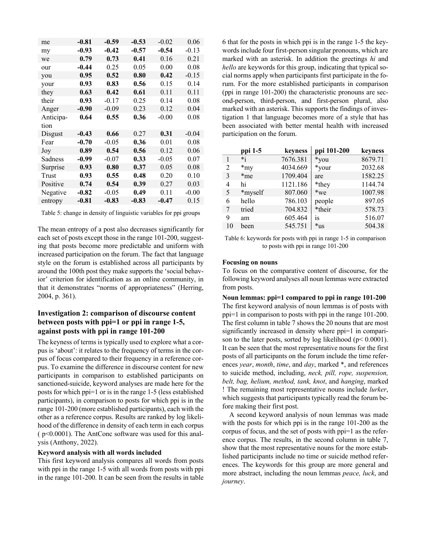| me        | $-0.81$ | $-0.59$ | $-0.53$ | $-0.02$ | 0.06    |
|-----------|---------|---------|---------|---------|---------|
| my        | $-0.93$ | $-0.42$ | $-0.57$ | $-0.54$ | $-0.13$ |
| we        | 0.79    | 0.73    | 0.41    | 0.16    | 0.21    |
| our       | $-0.44$ | 0.25    | 0.05    | 0.00    | 0.08    |
| you       | 0.95    | 0.52    | 0.80    | 0.42    | $-0.15$ |
| your      | 0.93    | 0.83    | 0.56    | 0.15    | 0.14    |
| they      | 0.63    | 0.42    | 0.61    | 0.11    | 0.11    |
| their     | 0.93    | $-0.17$ | 0.25    | 0.14    | 0.08    |
| Anger     | $-0.90$ | $-0.09$ | 0.23    | 0.12    | 0.04    |
| Anticipa- | 0.64    | 0.55    | 0.36    | $-0.00$ | 0.08    |
| tion      |         |         |         |         |         |
| Disgust   | $-0.43$ | 0.66    | 0.27    | 0.31    | $-0.04$ |
| Fear      | $-0.70$ | $-0.05$ | 0.36    | 0.01    | 0.08    |
| Joy       | 0.89    | 0.54    | 0.56    | 0.12    | 0.06    |
| Sadness   | $-0.99$ | $-0.07$ | 0.33    | $-0.05$ | 0.07    |
| Surprise  | 0.93    | 0.80    | 0.37    | 0.05    | 0.08    |
| Trust     | 0.93    | 0.55    | 0.48    | 0.20    | 0.10    |
| Positive  | 0.74    | 0.54    | 0.39    | 0.27    | 0.03    |
| Negative  | $-0.82$ | $-0.05$ | 0.49    | 0.11    | $-0.00$ |
| entropy   | $-0.81$ | $-0.83$ | $-0.83$ | $-0.47$ | 0.15    |

Table 5: change in density of linguistic variables for ppi groups

The mean entropy of a post also decreases significantly for each set of posts except those in the range 101-200, suggesting that posts become more predictable and uniform with increased participation on the forum. The fact that language style on the forum is established across all participants by around the 100th post they make supports the 'social behavior' criterion for identification as an online community, in that it demonstrates "norms of appropriateness" (Herring, 2004, p. 361).

# **Investigation 2: comparison of discourse content between posts with ppi=1 or ppi in range 1-5, against posts with ppi in range 101-200**

The keyness of terms is typically used to explore what a corpus is 'about': it relates to the frequency of terms in the corpus of focus compared to their frequency in a reference corpus. To examine the difference in discourse content for new participants in comparison to established participants on sanctioned-suicide, keyword analyses are made here for the posts for which ppi=1 or is in the range 1-5 (less established participants), in comparison to posts for which ppi is in the range 101-200 (more established participants), each with the other as a reference corpus. Results are ranked by log likelihood of the difference in density of each term in each corpus ( p<0.0001). The AntConc software was used for this analysis (Anthony, 2022).

#### **Keyword analysis with all words included**

This first keyword analysis compares all words from posts with ppi in the range 1-5 with all words from posts with ppi in the range 101-200. It can be seen from the results in table

6 that for the posts in which ppi is in the range 1-5 the keywords include four first-person singular pronouns, which are marked with an asterisk. In addition the greetings *hi* and *hello* are keywords for this group, indicating that typical social norms apply when participants first participate in the forum. For the more established participants in comparison (ppi in range 101-200) the characteristic pronouns are second-person, third-person, and first-person plural, also marked with an asterisk. This supports the findings of investigation 1 that language becomes more of a style that has been associated with better mental health with increased participation on the forum.

| ppi 1-5 | keyness  | ppi 101-200 | keyness |
|---------|----------|-------------|---------|
| $*_1$   | 7676.381 | *you        | 8679.71 |
| $*$ my  | 4034.669 | *your       | 2032.68 |
| $*me$   | 1709.404 | are         | 1582.25 |
| hi      | 1121.186 | *they       | 1144.74 |
| *myself | 807.060  | $*we$       | 1007.98 |
| hello   | 786.103  | people      | 897.05  |
| tried   | 704.832  | *their      | 578.73  |
| am      | 605.464  | is          | 516.07  |
| been    | 545.751  | $*$ us      | 504.38  |
|         |          |             |         |

Table 6: keywords for posts with ppi in range 1-5 in comparison to posts with ppi in range 101-200

#### **Focusing on nouns**

To focus on the comparative content of discourse, for the following keyword analyses all noun lemmas were extracted from posts.

**Noun lemmas: ppi=1 compared to ppi in range 101-200** The first keyword analysis of noun lemmas is of posts with ppi=1 in comparison to posts with ppi in the range 101-200. The first column in table 7 shows the 20 nouns that are most significantly increased in density where ppi=1 in comparison to the later posts, sorted by log likelihood ( $p$ < 0.0001). It can be seen that the most representative nouns for the first posts of all participants on the forum include the time references *year*, *month*, *time*, and *day*, marked \*, and references to suicide method, including, *neck, pill, rope, suspension, belt, bag, helium, method, tank, knot*, and *hanging*, marked ! The remaining most representative nouns include *lurker*, which suggests that participants typically read the forum before making their first post.

A second keyword analysis of noun lemmas was made with the posts for which ppi is in the range 101-200 as the corpus of focus, and the set of posts with ppi=1 as the reference corpus. The results, in the second column in table 7, show that the most representative nouns for the more established participants include no time or suicide method references. The keywords for this group are more general and more abstract, including the noun lemmas *peace, luck*, and *journey*.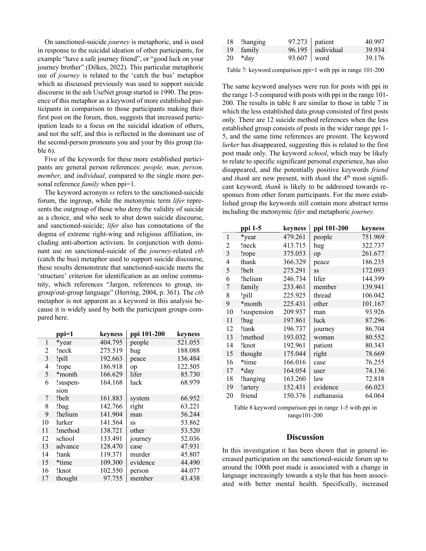On sanctioned-suicide *journey* is metaphoric, and is used in response to the suicidal ideation of other participants, for example "have a safe journey friend", or "good luck on your journey brother" (Dilkes, 2022). This particular metaphoric use of *journey* is related to the 'catch the bus' metaphor which as discussed previously was used to support suicide discourse in the ash UseNet group started in 1990. The presence of this metaphor as a keyword of more established participants in comparison to those participants making their first post on the forum, then, suggests that increased participation leads to a focus on the suicidal ideation of others, and not the self, and this is reflected in the dominant use of the second-person pronouns you and your by this group (table 6).

Five of the keywords for these more established participants are general person references: *people, man, person, member,* and *individual*, compared to the single more personal reference *family* when ppi=1.

The keyword acronym *ss* refers to the sanctioned-suicide forum, the ingroup, while the metonymic term *lifer* represents the outgroup of those who deny the validity of suicide as a choice, and who seek to shut down suicide discourse, and sanctioned-suicide; *lifer* also has connotations of the dogma of extreme right-wing and religious affiliation, including anti-abortion activism. In conjunction with dominant use on sanctioned-suicide of the *journey-*related *ctb* (catch the bus) metaphor used to support suicide discourse, these results demonstrate that sanctioned-suicide meets the 'structure' criterion for identification as an online community, which references "Jargon, references to group, ingroup/out-group language" (Herring, 2004, p. 361). The *ctb*  metaphor is not apparent as a keyword in this analysis because it is widely used by both the participant groups compared here.

|    | ppi=1    | keyness | ppi 101-200 | keyness |
|----|----------|---------|-------------|---------|
| 1  | *year    | 404.795 | people      | 521.055 |
| 2  | !neck    | 275.519 | hug         | 188.088 |
| 3  | !pill    | 192.663 | peace       | 136.484 |
| 4  | !rope    | 186.918 | op          | 122.505 |
| 5  | *month   | 166.629 | lifer       | 85.730  |
| 6  | !suspen- | 164.168 | luck        | 68.979  |
|    | sion     |         |             |         |
| 7  | !belt    | 161.883 | system      | 66.952  |
| 8  | !bag     | 142.766 | right       | 63.221  |
| 9  | !helium  | 141.904 | man         | 56.244  |
| 10 | lurker   | 141.564 | SS          | 53.862  |
| 11 | !method  | 138.721 | other       | 53.520  |
| 12 | school   | 133.491 | journey     | 52.036  |
| 13 | advance  | 128.470 | case        | 47.931  |
| 14 | !tank    | 119.371 | murder      | 45.807  |
| 15 | *time    | 109.300 | evidence    | 44.490  |
| 16 | !knot    | 102.550 | person      | 44.077  |
| 17 | thought  | 97.755  | member      | 43.438  |

| 18 !hanging |             | $97.273$ patient  | 40.997 |
|-------------|-------------|-------------------|--------|
| 19 family   |             | 96.195 individual | 39.934 |
| $20 * day$  | 93.607 word |                   | 39.176 |

Table 7: keyword comparison ppi=1 with ppi in range 101-200

The same keyword analyses were run for posts with ppi in the range 1-5 compared with posts with ppi in the range 101- 200. The results in table 8 are similar to those in table 7 in which the less established data group consisted of first posts only. There are 12 suicide method references when the less established group consists of posts in the wider range ppi 1- 5, and the same time references are present. The keyword *lurker* has disappeared, suggesting this is related to the first post made only. The keyword *school*, which may be likely to relate to specific significant personal experience, has also disappeared, and the potentially positive keywords *friend* and *thank* are now present, with *thank* the 4<sup>th</sup> most significant keyword; *thank* is likely to be addressed towards responses from other forum participants. For the more established group the keywords still contain more abstract terms including the metonymic *lifer* and metaphoric *journey*.

|                | ppi 1-5     | keyness | ppi 101-200 | keyness |
|----------------|-------------|---------|-------------|---------|
| $\mathbf{1}$   | *year       | 479.261 | people      | 751.969 |
| $\overline{2}$ | !neck       | 413.715 | hug         | 322.737 |
| 3              | !rope       | 375.053 | op          | 261.677 |
| $\overline{4}$ | thank       | 366.329 | peace       | 186.235 |
| 5              | !belt       | 275.291 | SS          | 172.093 |
| 6              | !helium     | 246.734 | lifer       | 144.399 |
| 7              | family      | 233.461 | member      | 139.941 |
| 8              | !pill       | 225.925 | thread      | 106.042 |
| 9              | *month      | 225.431 | other       | 101.167 |
| 10             | suspension! | 209.937 | man         | 93.926  |
| 11             | !bag        | 197.861 | luck        | 87.296  |
| 12             | !tank       | 196.737 | journey     | 86.704  |
| 13             | !method     | 193.032 | woman       | 80.552  |
| 14             | !knot       | 192.961 | patient     | 80.343  |
| 15             | thought     | 175.044 | right       | 78.669  |
| 16             | *time       | 166.016 | case        | 76.255  |
| 17             | *day        | 164.054 | user        | 74.136  |
| 18             | !hanging    | 163.260 | law         | 72.818  |
| 19             | !artery     | 152.431 | evidence    | 66.023  |
| 20             | friend      | 150.376 | euthanasia  | 64.064  |

Table 8 keyword comparison ppi in range 1-5 with ppi in range101-200

#### **Discussion**

In this investigation it has been shown that in general increased participation on the sanctioned-suicide forum up to around the 100th post made is associated with a change in language increasingly towards a style that has been associated with better mental health. Specifically, increased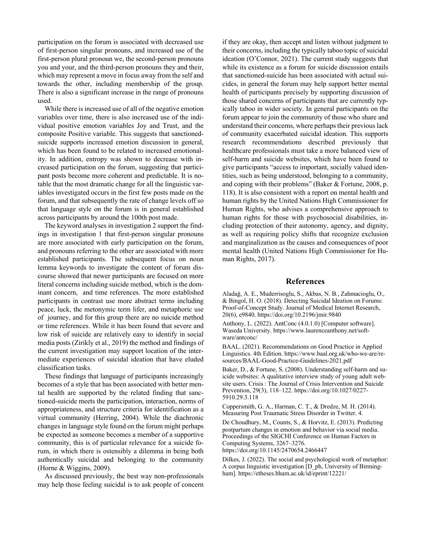participation on the forum is associated with decreased use of first-person singular pronouns, and increased use of the first-person plural pronoun we, the second-person pronouns you and your, and the third-person pronouns they and their, which may represent a move in focus away from the self and towards the other, including membership of the group. There is also a significant increase in the range of pronouns used.

While there is increased use of all of the negative emotion variables over time, there is also increased use of the individual positive emotion variables Joy and Trust, and the composite Positive variable. This suggests that sanctionedsuicide supports increased emotion discussion in general, which has been found to be related to increased emotionality. In addition, entropy was shown to decrease with increased participation on the forum, suggesting that participant posts become more coherent and predictable. It is notable that the most dramatic change for all the linguistic variables investigated occurs in the first few posts made on the forum, and that subsequently the rate of change levels off so that language style on the forum is in general established across participants by around the 100th post made.

The keyword analyses in investigation 2 support the findings in investigation 1 that first-person singular pronouns are more associated with early participation on the forum, and pronouns referring to the other are associated with more established participants. The subsequent focus on noun lemma keywords to investigate the content of forum discourse showed that newer participants are focused on more literal concerns including suicide method, which is the dominant concern, and time references. The more established participants in contrast use more abstract terms including peace, luck, the metonymic term lifer, and metaphoric use of journey, and for this group there are no suicide method or time references. While it has been found that severe and low risk of suicide are relatively easy to identify in social media posts (Zirikly et al., 2019) the method and findings of the current investigation may support location of the intermediate experiences of suicidal ideation that have eluded classification tasks.

These findings that language of participants increasingly becomes of a style that has been associated with better mental health are supported by the related finding that sanctioned-suicide meets the participation, interaction, norms of appropriateness, and structure criteria for identification as a virtual community (Herring, 2004). While the diachronic changes in language style found on the forum might perhaps be expected as someone becomes a member of a supportive community, this is of particular relevance for a suicide forum, in which there is ostensibly a dilemma in being both authentically suicidal and belonging to the community (Horne & Wiggins, 2009).

As discussed previously, the best way non-professionals may help those feeling suicidal is to ask people of concern

if they are okay, then accept and listen without judgment to their concerns, including the typically taboo topic of suicidal ideation (O'Connor, 2021). The current study suggests that while its existence as a forum for suicide discussion entails that sanctioned-suicide has been associated with actual suicides, in general the forum may help support better mental health of participants precisely by supporting discussion of those shared concerns of participants that are currently typically taboo in wider society. In general participants on the forum appear to join the community of those who share and understand their concerns, where perhaps their previous lack of community exacerbated suicidal ideation. This supports research recommendations described previously that healthcare professionals must take a more balanced view of self-harm and suicide websites, which have been found to give participants "access to important, socially valued identities, such as being understood, belonging to a community, and coping with their problems" (Baker & Fortune, 2008, p. 118). It is also consistent with a report on mental health and human rights by the United Nations High Commissioner for Human Rights, who advises a comprehensive approach to human rights for those with psychosocial disabilities, including protection of their autonomy, agency, and dignity, as well as requiring policy shifts that recognize exclusion and marginalization as the causes and consequences of poor mental health (United Nations High Commissioner for Human Rights, 2017).

### **References**

Aladağ, A. E., Muderrisoglu, S., Akbas, N. B., Zahmacioglu, O., & Bingol, H. O. (2018). Detecting Suicidal Ideation on Forums: Proof-of-Concept Study. Journal of Medical Internet Research, 20(6), e9840. https://doi.org/10.2196/jmir.9840

Anthony, L. (2022). AntConc (4.0.1.0) [Computer software]. Waseda University. https://www.laurenceanthony.net/software/antconc/

BAAL. (2021). Recommendations on Good Practice in Applied Linguistics. 4th Edition. https://www.baal.org.uk/who-we-are/resources/BAAL-Good-Practice-Guidelines-2021.pdf

Baker, D., & Fortune, S. (2008). Understanding self-harm and suicide websites: A qualitative interview study of young adult website users. Crisis : The Journal of Crisis Intervention and Suicide Prevention, 29(3), 118–122. https://doi.org/10.1027/0227- 5910.29.3.118

Coppersmith, G. A., Harman, C. T., & Dredze, M. H. (2014). Measuring Post Traumatic Stress Disorder in Twitter. 4.

De Choudhury, M., Counts, S., & Horvitz, E. (2013). Predicting postpartum changes in emotion and behavior via social media. Proceedings of the SIGCHI Conference on Human Factors in Computing Systems, 3267–3276.

https://doi.org/10.1145/2470654.2466447

Dilkes, J. (2022). The social and psychological work of metaphor: A corpus linguistic investigation [D\_ph, University of Birmingham]. https://etheses.bham.ac.uk/id/eprint/12221/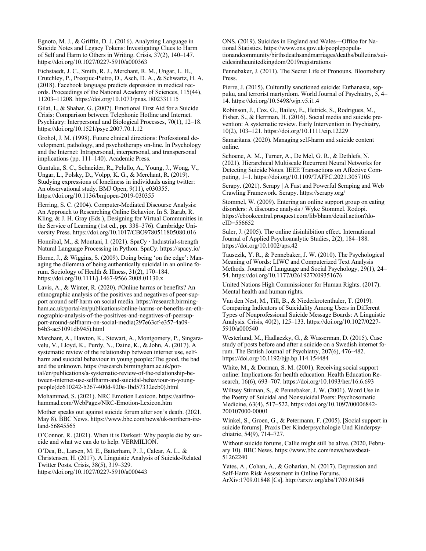Egnoto, M. J., & Griffin, D. J. (2016). Analyzing Language in Suicide Notes and Legacy Tokens: Investigating Clues to Harm of Self and Harm to Others in Writing. Crisis, 37(2), 140–147. https://doi.org/10.1027/0227-5910/a000363

Eichstaedt, J. C., Smith, R. J., Merchant, R. M., Ungar, L. H., Crutchley, P., Preoţiuc-Pietro, D., Asch, D. A., & Schwartz, H. A. (2018). Facebook language predicts depression in medical records. Proceedings of the National Academy of Sciences, 115(44), 11203–11208. https://doi.org/10.1073/pnas.1802331115

Gilat, I., & Shahar, G. (2007). Emotional First Aid for a Suicide Crisis: Comparison between Telephonic Hotline and Internet. Psychiatry: Interpersonal and Biological Processes, 70(1), 12–18. https://doi.org/10.1521/psyc.2007.70.1.12

Grohol, J. M. (1998). Future clinical directions: Professional development, pathology, and psychotherapy on-line. In Psychology and the Internet: Intrapersonal, interpersonal, and transpersonal implications (pp. 111–140). Academic Press.

Guntuku, S. C., Schneider, R., Pelullo, A., Young, J., Wong, V., Ungar, L., Polsky, D., Volpp, K. G., & Merchant, R. (2019). Studying expressions of loneliness in individuals using twitter: An observational study. BMJ Open, 9(11), e030355. https://doi.org/10.1136/bmjopen-2019-030355

Herring, S. C. (2004). Computer-Mediated Discourse Analysis: An Approach to Researching Online Behavior. In S. Barab, R. Kling, & J. H. Gray (Eds.), Designing for Virtual Communities in the Service of Learning (1st ed., pp. 338–376). Cambridge University Press. https://doi.org/10.1017/CBO9780511805080.016

Honnibal, M., & Montani, I. (2021). SpaCy · Industrial-strength Natural Language Processing in Python. SpaCy. https://spacy.io/

Horne, J., & Wiggins, S. (2009). Doing being 'on the edge': Managing the dilemma of being authentically suicidal in an online forum. Sociology of Health & Illness, 31(2), 170–184. https://doi.org/10.1111/j.1467-9566.2008.01130.x

Lavis, A., & Winter, R. (2020). #Online harms or benefits? An ethnographic analysis of the positives and negatives of peer‐support around self‐harm on social media. https://research.birmingham.ac.uk/portal/en/publications/online-harms-or-benefits-an-ethnographic-analysis-of-the-positives-and-negatives-of-peersupport-around-selfharm-on-social-media(297e63cf-e357-4a09 b4b3-ac51091db945).html

Marchant, A., Hawton, K., Stewart, A., Montgomery, P., Singaravelu, V., Lloyd, K., Purdy, N., Daine, K., & John, A. (2017). A systematic review of the relationship between internet use, selfharm and suicidal behaviour in young people::The good, the bad and the unknown. https://research.birmingham.ac.uk/portal/en/publications/a-systematic-review-of-the-relationship-between-internet-use-selfharm-and-suicidal-behaviour-in-youngpeople(dc610242-b267-400d-920e-1bd57332ecb0).html

Mohammad, S. (2021). NRC Emotion Lexicon. https://saifmohammad.com/WebPages/NRC-Emotion-Lexicon.htm

Mother speaks out against suicide forum after son's death. (2021, May 8). BBC News. https://www.bbc.com/news/uk-northern-ireland-56845565

O'Connor, R. (2021). When it is Darkest: Why people die by suicide and what we can do to help. VERMILION.

O'Dea, B., Larsen, M. E., Batterham, P. J., Calear, A. L., & Christensen, H. (2017). A Linguistic Analysis of Suicide-Related Twitter Posts. Crisis, 38(5), 319–329. https://doi.org/10.1027/0227-5910/a000443

ONS. (2019). Suicides in England and Wales—Office for National Statistics. https://www.ons.gov.uk/peoplepopulationandcommunity/birthsdeathsandmarriages/deaths/bulletins/suicidesintheunitedkingdom/2019registrations

Pennebaker, J. (2011). The Secret Life of Pronouns. Bloomsbury Press.

Pierre, J. (2015). Culturally sanctioned suicide: Euthanasia, seppuku, and terrorist martyrdom. World Journal of Psychiatry, 5, 4– 14. https://doi.org/10.5498/wjp.v5.i1.4

Robinson, J., Cox, G., Bailey, E., Hetrick, S., Rodrigues, M., Fisher, S., & Herrman, H. (2016). Social media and suicide prevention: A systematic review. Early Intervention in Psychiatry, 10(2), 103–121. https://doi.org/10.1111/eip.12229

Samaritans. (2020). Managing self-harm and suicide content online.

Schoene, A. M., Turner, A., De Mel, G. R., & Dethlefs, N. (2021). Hierarchical Multiscale Recurrent Neural Networks for Detecting Suicide Notes. IEEE Transactions on Affective Computing, 1–1. https://doi.org/10.1109/TAFFC.2021.3057105

Scrapy. (2021). Scrapy | A Fast and Powerful Scraping and Web Crawling Framework. Scrapy. https://scrapy.org/

Stommel, W. (2009). Entering an online support group on eating disorders: A discourse analysis / Wyke Stommel. Rodopi. https://ebookcentral.proquest.com/lib/bham/detail.action?docID=556652

Suler, J. (2005). The online disinhibition effect. International Journal of Applied Psychoanalytic Studies, 2(2), 184–188. https://doi.org/10.1002/aps.42

Tausczik, Y. R., & Pennebaker, J. W. (2010). The Psychological Meaning of Words: LIWC and Computerized Text Analysis Methods. Journal of Language and Social Psychology, 29(1), 24– 54. https://doi.org/10.1177/0261927X09351676

United Nations High Commissioner for Human Rights. (2017). Mental health and human rights.

Van den Nest, M., Till, B., & Niederkrotenthaler, T. (2019). Comparing Indicators of Suicidality Among Users in Different Types of Nonprofessional Suicide Message Boards: A Linguistic Analysis. Crisis, 40(2), 125–133. https://doi.org/10.1027/0227- 5910/a000540

Westerlund, M., Hadlaczky, G., & Wasserman, D. (2015). Case study of posts before and after a suicide on a Swedish internet forum. The British Journal of Psychiatry, 207(6), 476–482. https://doi.org/10.1192/bjp.bp.114.154484

White, M., & Dorman, S. M. (2001). Receiving social support online: Implications for health education. Health Education Research, 16(6), 693–707. https://doi.org/10.1093/her/16.6.693

Wiltsey Stirman, S., & Pennebaker, J. W. (2001). Word Use in the Poetry of Suicidal and Nonsuicidal Poets: Psychosomatic Medicine, 63(4), 517–522. https://doi.org/10.1097/00006842- 200107000-00001

Winkel, S., Groen, G., & Petermann, F. (2005). [Social support in suicide forums]. Praxis Der Kinderpsychologie Und Kinderpsychiatrie, 54(9), 714–727.

Without suicide forums, Callie might still be alive. (2020, February 10). BBC News. https://www.bbc.com/news/newsbeat-51262240

Yates, A., Cohan, A., & Goharian, N. (2017). Depression and Self-Harm Risk Assessment in Online Forums. ArXiv:1709.01848 [Cs]. http://arxiv.org/abs/1709.01848